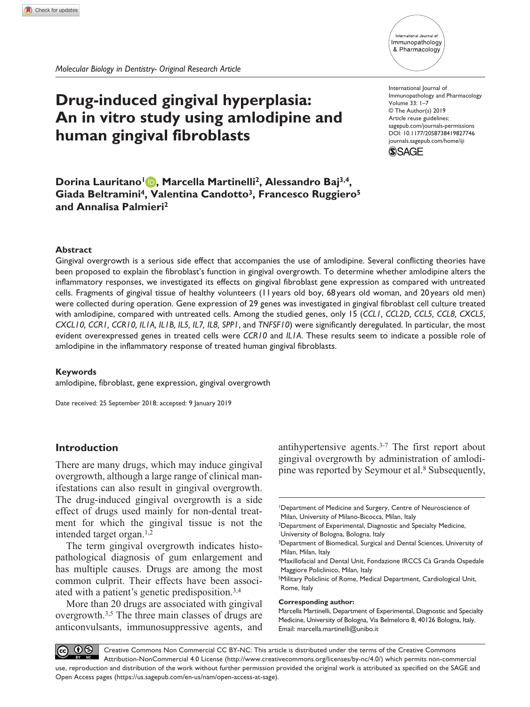# International Journal of Immunopathology & Pharmacology

# **Drug-induced gingival hyperplasia: An in vitro study using amlodipine and human gingival fibroblasts**

DOI: 10.1177/2058738419827746 International Journal of Immunopathology and Pharmacology Volume 33: 1–7 © The Author(s) 2019 Article reuse guidelines: [sagepub.com/journals-permissions](https://uk.sagepub.com/en-gb/journals-permissions) [journals.sagepub.com/home/iji](https://journals.sagepub.com/home/iji)



**Dorina Lauritano1 , Marcella Martinelli2, Alessandro Baj3,4,** Giada Beltramini<sup>4</sup>, Valentina Candotto<sup>3</sup>, Francesco Ruggiero<sup>5</sup> **and Annalisa Palmieri2**

## **Abstract**

Gingival overgrowth is a serious side effect that accompanies the use of amlodipine. Several conflicting theories have been proposed to explain the fibroblast's function in gingival overgrowth. To determine whether amlodipine alters the inflammatory responses, we investigated its effects on gingival fibroblast gene expression as compared with untreated cells. Fragments of gingival tissue of healthy volunteers (11 years old boy, 68 years old woman, and 20 years old men) were collected during operation. Gene expression of 29 genes was investigated in gingival fibroblast cell culture treated with amlodipine, compared with untreated cells. Among the studied genes, only 15 (*CCL1, CCL2D, CCL5, CCL8, CXCL5, CXCL10, CCR1, CCR10, IL1A, IL1B, IL5, IL7, IL8, SPP1*, and *TNFSF10*) were significantly deregulated. In particular, the most evident overexpressed genes in treated cells were *CCR10* and *IL1A*. These results seem to indicate a possible role of amlodipine in the inflammatory response of treated human gingival fibroblasts.

### **Keywords**

amlodipine, fibroblast, gene expression, gingival overgrowth

Date received: 25 September 2018; accepted: 9 January 2019

# **Introduction**

There are many drugs, which may induce gingival overgrowth, although a large range of clinical manifestations can also result in gingival overgrowth. The drug-induced gingival overgrowth is a side effect of drugs used mainly for non-dental treatment for which the gingival tissue is not the intended target organ.1,2

The term gingival overgrowth indicates histopathological diagnosis of gum enlargement and has multiple causes. Drugs are among the most common culprit. Their effects have been associated with a patient's genetic predisposition.3,4

More than 20 drugs are associated with gingival overgrowth.3,5 The three main classes of drugs are anticonvulsants, immunosuppressive agents, and

antihypertensive agents.3-7 The first report about gingival overgrowth by administration of amlodipine was reported by Seymour et al.8 Subsequently,

#### **Corresponding author:**

 $0$ Creative Commons Non Commercial CC BY-NC: This article is distributed under the terms of the Creative Commons Attribution-NonCommercial 4.0 License (http://www.creativecommons.org/licenses/by-nc/4.0/) which permits non-commercial use, reproduction and distribution of the work without further permission provided the original work is attributed as specified on the SAGE and Open Access pages (https://us.sagepub.com/en-us/nam/open-access-at-sage).

<sup>1</sup>Department of Medicine and Surgery, Centre of Neuroscience of Milan, University of Milano-Bicocca, Milan, Italy

<sup>2</sup>Department of Experimental, Diagnostic and Specialty Medicine, University of Bologna, Bologna, Italy

<sup>&</sup>lt;sup>3</sup>Department of Biomedical, Surgical and Dental Sciences, University of Milan, Milan, Italy

<sup>4</sup>Maxillofacial and Dental Unit, Fondazione IRCCS Cà Granda Ospedale Maggiore Policlinico, Milan, Italy

<sup>5</sup>Military Policlinic of Rome, Medical Department, Cardiological Unit, Rome, Italy

Marcella Martinelli, Department of Experimental, Diagnostic and Specialty Medicine, University of Bologna, Via Belmeloro 8, 40126 Bologna, Italy. Email: [marcella.martinelli@unibo.it](mailto:marcella.martinelli@unibo.it)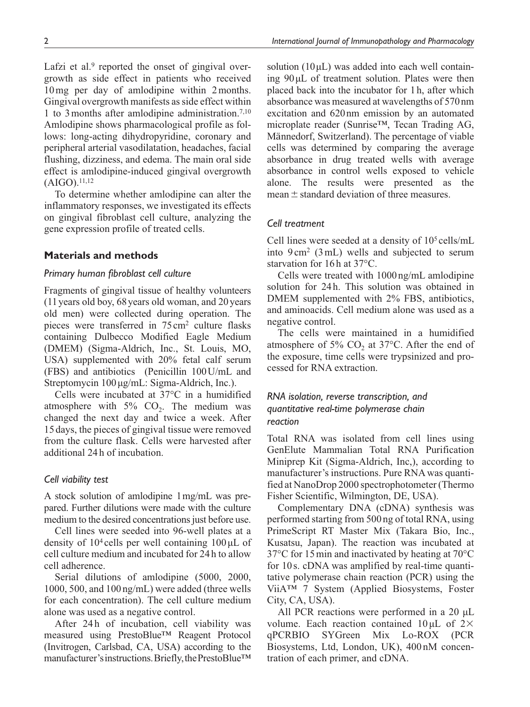Lafzi et al.<sup>9</sup> reported the onset of gingival overgrowth as side effect in patients who received 10mg per day of amlodipine within 2months. Gingival overgrowth manifests as side effect within 1 to 3months after amlodipine administration.7,10 Amlodipine shows pharmacological profile as follows: long-acting dihydropyridine, coronary and peripheral arterial vasodilatation, headaches, facial flushing, dizziness, and edema. The main oral side effect is amlodipine-induced gingival overgrowth  $(AIGO).^{11,12}$ 

To determine whether amlodipine can alter the inflammatory responses, we investigated its effects on gingival fibroblast cell culture, analyzing the gene expression profile of treated cells.

# **Materials and methods**

### *Primary human fibroblast cell culture*

Fragments of gingival tissue of healthy volunteers (11years old boy, 68years old woman, and 20years old men) were collected during operation. The pieces were transferred in 75cm2 culture flasks containing Dulbecco Modified Eagle Medium (DMEM) (Sigma-Aldrich, Inc., St. Louis, MO, USA) supplemented with 20% fetal calf serum (FBS) and antibiotics (Penicillin 100U/mL and Streptomycin 100µg/mL: Sigma-Aldrich, Inc.).

Cells were incubated at 37°C in a humidified atmosphere with  $5\%$  CO<sub>2</sub>. The medium was changed the next day and twice a week. After 15 days, the pieces of gingival tissue were removed from the culture flask. Cells were harvested after additional 24 h of incubation.

### *Cell viability test*

A stock solution of amlodipine 1mg/mL was prepared. Further dilutions were made with the culture medium to the desired concentrations just before use.

Cell lines were seeded into 96-well plates at a density of  $10<sup>4</sup>$  cells per well containing  $100 \mu L$  of cell culture medium and incubated for 24 h to allow cell adherence.

Serial dilutions of amlodipine (5000, 2000, 1000, 500, and 100 ng/mL) were added (three wells for each concentration). The cell culture medium alone was used as a negative control.

After 24h of incubation, cell viability was measured using PrestoBlue™ Reagent Protocol (Invitrogen, Carlsbad, CA, USA) according to the manufacturer's instructions. Briefly, the PrestoBlue™ solution  $(10 \mu L)$  was added into each well containing 90µL of treatment solution. Plates were then placed back into the incubator for 1h, after which absorbance was measured at wavelengths of 570nm excitation and 620nm emission by an automated microplate reader (Sunrise™, Tecan Trading AG, Mӓnnedorf, Switzerland). The percentage of viable cells was determined by comparing the average absorbance in drug treated wells with average absorbance in control wells exposed to vehicle alone. The results were presented as the mean  $\pm$  standard deviation of three measures.

## *Cell treatment*

Cell lines were seeded at a density of 105 cells/mL into  $9 \text{ cm}^2$  (3 mL) wells and subjected to serum starvation for  $16h$  at  $37^{\circ}$ C.

Cells were treated with 1000ng/mL amlodipine solution for 24h. This solution was obtained in DMEM supplemented with 2% FBS, antibiotics, and aminoacids. Cell medium alone was used as a negative control.

The cells were maintained in a humidified atmosphere of 5%  $CO<sub>2</sub>$  at 37°C. After the end of the exposure, time cells were trypsinized and processed for RNA extraction.

# *RNA isolation, reverse transcription, and quantitative real-time polymerase chain reaction*

Total RNA was isolated from cell lines using GenElute Mammalian Total RNA Purification Miniprep Kit (Sigma-Aldrich, Inc,), according to manufacturer's instructions. Pure RNA was quantified at NanoDrop 2000 spectrophotometer (Thermo Fisher Scientific, Wilmington, DE, USA).

Complementary DNA (cDNA) synthesis was performed starting from 500 ng of total RNA, using PrimeScript RT Master Mix (Takara Bio, Inc., Kusatsu, Japan). The reaction was incubated at 37°C for 15min and inactivated by heating at 70°C for 10 s. cDNA was amplified by real-time quantitative polymerase chain reaction (PCR) using the ViiA™ 7 System (Applied Biosystems, Foster City, CA, USA).

All PCR reactions were performed in a 20  $\mu$ L volume. Each reaction contained 10µL of 2× qPCRBIO SYGreen Mix Lo-ROX (PCR Biosystems, Ltd, London, UK), 400 nM concentration of each primer, and cDNA.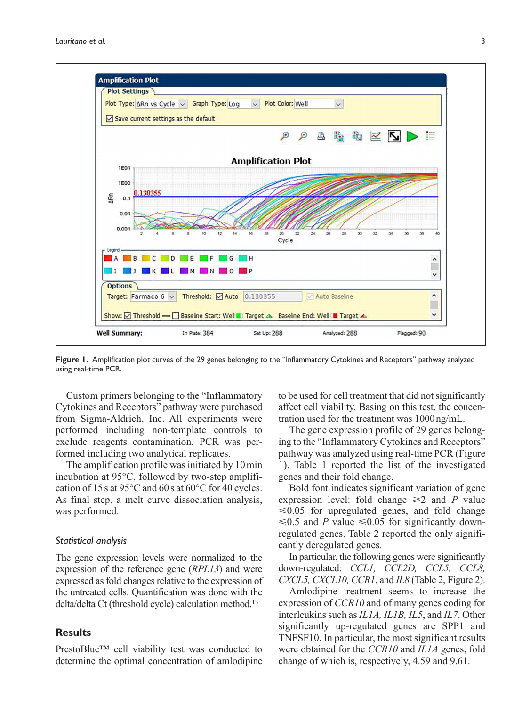

**Figure 1.** Amplification plot curves of the 29 genes belonging to the "Inflammatory Cytokines and Receptors" pathway analyzed using real-time PCR.

Custom primers belonging to the "Inflammatory Cytokines and Receptors" pathway were purchased from Sigma-Aldrich, Inc. All experiments were performed including non-template controls to exclude reagents contamination. PCR was performed including two analytical replicates.

The amplification profile was initiated by 10min incubation at 95°C, followed by two-step amplification of 15s at 95°C and 60s at 60°C for 40 cycles. As final step, a melt curve dissociation analysis, was performed.

#### *Statistical analysis*

The gene expression levels were normalized to the expression of the reference gene (*RPL13*) and were expressed as fold changes relative to the expression of the untreated cells. Quantification was done with the delta/delta Ct (threshold cycle) calculation method.13

# **Results**

PrestoBlue™ cell viability test was conducted to determine the optimal concentration of amlodipine to be used for cell treatment that did not significantly affect cell viability. Basing on this test, the concentration used for the treatment was 1000ng/mL.

The gene expression profile of 29 genes belonging to the "Inflammatory Cytokines and Receptors" pathway was analyzed using real-time PCR (Figure 1). Table 1 reported the list of the investigated genes and their fold change.

Bold font indicates significant variation of gene expression level: fold change  $\geq 2$  and *P* value  $\leq 0.05$  for upregulated genes, and fold change ≤0.5 and *P* value ≤0.05 for significantly downregulated genes. Table 2 reported the only significantly deregulated genes.

In particular, the following genes were significantly down-regulated: *CCL1, CCL2D, CCL5, CCL8, CXCL5, CXCL10, CCR1*, and *IL8* (Table 2, Figure 2).

Amlodipine treatment seems to increase the expression of *CCR10* and of many genes coding for interleukins such as *IL1A, IL1B, IL5*, and *IL7*. Other significantly up-regulated genes are SPP1 and TNFSF10. In particular, the most significant results were obtained for the *CCR10* and *IL1A* genes, fold change of which is, respectively, 4.59 and 9.61.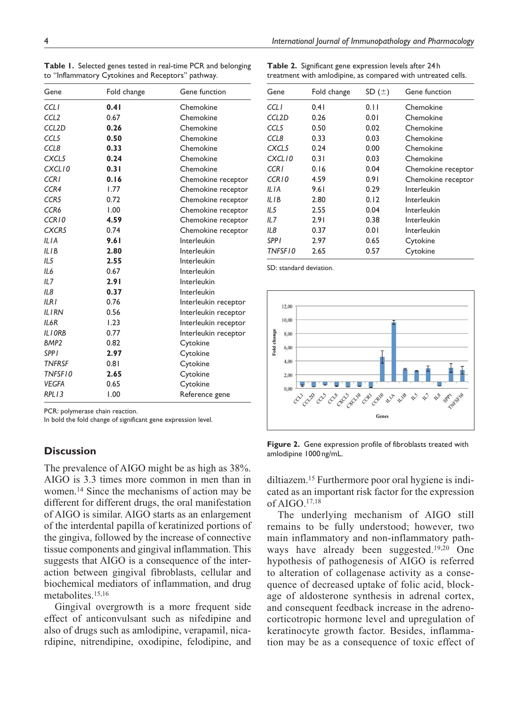|                                                    |  |  | Table 1. Selected genes tested in real-time PCR and belonging |
|----------------------------------------------------|--|--|---------------------------------------------------------------|
| to "Inflammatory Cytokines and Receptors" pathway. |  |  |                                                               |

| Gene               | Fold change | Gene function        |
|--------------------|-------------|----------------------|
| CCLI               | 0.41        | Chemokine            |
| CCL <sub>2</sub>   | 0.67        | Chemokine            |
| CCL <sub>2</sub> D | 0.26        | Chemokine            |
| CCL5               | 0.50        | Chemokine            |
| CCL8               | 0.33        | Chemokine            |
| CXCL5              | 0.24        | Chemokine            |
| CXCL10             | 0.31        | Chemokine            |
| <b>CCR1</b>        | 0.16        | Chemokine receptor   |
| CCR4               | 1.77        | Chemokine receptor   |
| CCR <sub>5</sub>   | 0.72        | Chemokine receptor   |
| CCR6               | 1.00        | Chemokine receptor   |
| CCR10              | 4.59        | Chemokine receptor   |
| CXCR5              | 0.74        | Chemokine receptor   |
| IIIA               | 9.61        | Interleukin          |
| IIIB               | 2.80        | Interleukin          |
| IL5                | 2.55        | Interleukin          |
| II 6               | 0.67        | Interleukin          |
| IL7                | 2.91        | Interleukin          |
| II 8               | 0.37        | Interleukin          |
| ILRI               | 0.76        | Interleukin receptor |
| <b>ILIRN</b>       | 0.56        | Interleukin receptor |
| IL6R               | 1.23        | Interleukin receptor |
| ILIORB             | 0.77        | Interleukin receptor |
| BMP <sub>2</sub>   | 0.82        | Cytokine             |
| <b>SPPI</b>        | 2.97        | Cytokine             |
| <b>TNFRSF</b>      | 0.81        | Cytokine             |
| TNFSF10            | 2.65        | Cytokine             |
| <b>VEGFA</b>       | 0.65        | Cytokine             |
| RPL13              | 1.00        | Reference gene       |

PCR: polymerase chain reaction.

In bold the fold change of significant gene expression level.

# **Discussion**

The prevalence of AIGO might be as high as 38%. AIGO is 3.3 times more common in men than in women.14 Since the mechanisms of action may be different for different drugs, the oral manifestation of AIGO is similar. AIGO starts as an enlargement of the interdental papilla of keratinized portions of the gingiva, followed by the increase of connective tissue components and gingival inflammation. This suggests that AIGO is a consequence of the interaction between gingival fibroblasts, cellular and biochemical mediators of inflammation, and drug metabolites.15,16

Gingival overgrowth is a more frequent side effect of anticonvulsant such as nifedipine and also of drugs such as amlodipine, verapamil, nicardipine, nitrendipine, oxodipine, felodipine, and

**Table 2.** Significant gene expression levels after 24h treatment with amlodipine, as compared with untreated cells.

| Gene               | Fold change | SD $(\pm)$ | Gene function      |
|--------------------|-------------|------------|--------------------|
| <b>CCLI</b>        | 0.41        | 0.11       | Chemokine          |
| CCL <sub>2</sub> D | 0.26        | 0.01       | Chemokine          |
| CCL5               | 0.50        | 0.02       | Chemokine          |
| CCL8               | 0.33        | 0.03       | Chemokine          |
| CXCL5              | 0.24        | 0.00       | Chemokine          |
| CXCL10             | 0.31        | 0.03       | Chemokine          |
| CCR I              | 0.16        | 0.04       | Chemokine receptor |
| CCR10              | 4.59        | 0.91       | Chemokine receptor |
| ILIA               | 9.61        | 0.29       | Interleukin        |
| IL I B             | 2.80        | 0.12       | Interleukin        |
| IL5                | 2.55        | 0.04       | Interleukin        |
| IL7                | 2.91        | 0.38       | Interleukin        |
| IL8                | 0.37        | 0.01       | Interleukin        |
| <b>SPPI</b>        | 2.97        | 0.65       | Cytokine           |
| TNFSF10            | 2.65        | 0.57       | Cytokine           |

SD: standard deviation.



**Figure 2.** Gene expression profile of fibroblasts treated with amlodipine 1000 ng/mL.

diltiazem.15 Furthermore poor oral hygiene is indicated as an important risk factor for the expression of AIGO.17,18

The underlying mechanism of AIGO still remains to be fully understood; however, two main inflammatory and non-inflammatory pathways have already been suggested.19,20 One hypothesis of pathogenesis of AIGO is referred to alteration of collagenase activity as a consequence of decreased uptake of folic acid, blockage of aldosterone synthesis in adrenal cortex, and consequent feedback increase in the adrenocorticotropic hormone level and upregulation of keratinocyte growth factor. Besides, inflammation may be as a consequence of toxic effect of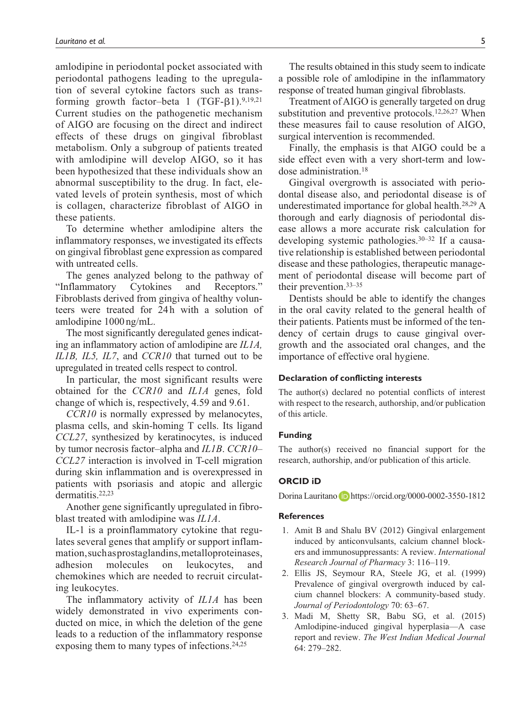amlodipine in periodontal pocket associated with periodontal pathogens leading to the upregulation of several cytokine factors such as transforming growth factor–beta 1  $(TGF-β1)$ .<sup>9,19,21</sup> Current studies on the pathogenetic mechanism of AIGO are focusing on the direct and indirect effects of these drugs on gingival fibroblast metabolism. Only a subgroup of patients treated with amlodipine will develop AIGO, so it has been hypothesized that these individuals show an abnormal susceptibility to the drug. In fact, elevated levels of protein synthesis, most of which is collagen, characterize fibroblast of AIGO in these patients.

To determine whether amlodipine alters the inflammatory responses, we investigated its effects on gingival fibroblast gene expression as compared with untreated cells.

The genes analyzed belong to the pathway of "Inflammatory Cytokines and Receptors." Fibroblasts derived from gingiva of healthy volunteers were treated for 24h with a solution of amlodipine 1000 ng/mL.

The most significantly deregulated genes indicating an inflammatory action of amlodipine are *IL1A, IL1B, IL5, IL7*, and *CCR10* that turned out to be upregulated in treated cells respect to control.

In particular, the most significant results were obtained for the *CCR10* and *IL1A* genes, fold change of which is, respectively, 4.59 and 9.61.

*CCR10* is normally expressed by melanocytes, plasma cells, and skin-homing T cells. Its ligand *CCL27*, synthesized by keratinocytes, is induced by tumor necrosis factor–alpha and *IL1B*. *CCR10– CCL27* interaction is involved in T-cell migration during skin inflammation and is overexpressed in patients with psoriasis and atopic and allergic dermatitis.22,23

Another gene significantly upregulated in fibroblast treated with amlodipine was *IL1A*.

IL-1 is a proinflammatory cytokine that regulates several genes that amplify or support inflammation, such as prostaglandins, metalloproteinases, adhesion molecules on leukocytes, and chemokines which are needed to recruit circulating leukocytes.

The inflammatory activity of *IL1A* has been widely demonstrated in vivo experiments conducted on mice, in which the deletion of the gene leads to a reduction of the inflammatory response exposing them to many types of infections.24,25

The results obtained in this study seem to indicate a possible role of amlodipine in the inflammatory response of treated human gingival fibroblasts.

Treatment of AIGO is generally targeted on drug substitution and preventive protocols.<sup>12,26,27</sup> When these measures fail to cause resolution of AIGO, surgical intervention is recommended.

Finally, the emphasis is that AIGO could be a side effect even with a very short-term and lowdose administration.18

Gingival overgrowth is associated with periodontal disease also, and periodontal disease is of underestimated importance for global health.28,29 A thorough and early diagnosis of periodontal disease allows a more accurate risk calculation for developing systemic pathologies.30–32 If a causative relationship is established between periodontal disease and these pathologies, therapeutic management of periodontal disease will become part of their prevention.33–35

Dentists should be able to identify the changes in the oral cavity related to the general health of their patients. Patients must be informed of the tendency of certain drugs to cause gingival overgrowth and the associated oral changes, and the importance of effective oral hygiene.

#### **Declaration of conflicting interests**

The author(s) declared no potential conflicts of interest with respect to the research, authorship, and/or publication of this article.

#### **Funding**

The author(s) received no financial support for the research, authorship, and/or publication of this article.

#### **ORCID iD**

Dorina Lauritano **b** <https://orcid.org/0000-0002-3550-1812>

#### **References**

- 1. Amit B and Shalu BV (2012) Gingival enlargement induced by anticonvulsants, calcium channel blockers and immunosuppressants: A review. *International Research Journal of Pharmacy* 3: 116–119.
- 2. Ellis JS, Seymour RA, Steele JG, et al. (1999) Prevalence of gingival overgrowth induced by calcium channel blockers: A community-based study. *Journal of Periodontology* 70: 63–67.
- 3. Madi M, Shetty SR, Babu SG, et al. (2015) Amlodipine-induced gingival hyperplasia—A case report and review. *The West Indian Medical Journal* 64: 279–282.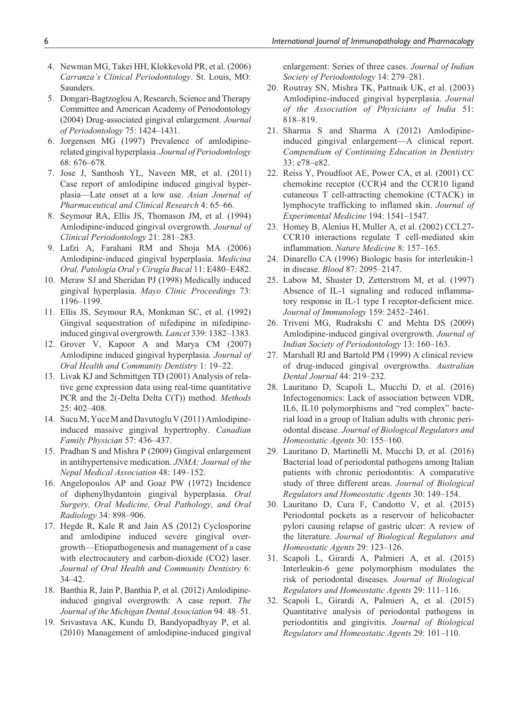- 4. Newman MG, Takei HH, Klokkevold PR, et al. (2006) *Carranza's Clinical Periodontology*. St. Louis, MO: Saunders.
- 5. Dongari-Bagtzoglou A, Research, Science and Therapy Committee and American Academy of Periodontology (2004) Drug-associated gingival enlargement. *Journal of Periodontology* 75: 1424–1431.
- 6. Jorgensen MG (1997) Prevalence of amlodipinerelated gingival hyperplasia. *Journal of Periodontology* 68: 676–678.
- 7. Jose J, Santhosh YL, Naveen MR, et al. (2011) Case report of amlodipine induced gingival hyperplasia—Late onset at a low use. *Asian Journal of Pharmaceutical and Clinical Research* 4: 65–66.
- 8. Seymour RA, Ellis JS, Thomason JM, et al. (1994) Amlodipine-induced gingival overgrowth. *Journal of Clinical Periodontology* 21: 281–283.
- 9. Lafzi A, Farahani RM and Shoja MA (2006) Amlodipine-induced gingival hyperplasia. *Medicina Oral, Patología Oral y Cirugía Bucal* 11: E480–E482.
- 10. Meraw SJ and Sheridan PJ (1998) Medically induced gingival hyperplasia. *Mayo Clinic Proceedings* 73: 1196–1199.
- 11. Ellis JS, Seymour RA, Monkman SC, et al. (1992) Gingival sequestration of nifedipine in nifedipineinduced gingival overgrowth. *Lancet* 339: 1382–1383.
- 12. Grover V, Kapoor A and Marya CM (2007) Amlodipine induced gingival hyperplasia. *Journal of Oral Health and Community Dentistry* 1: 19–22.
- 13. Livak KJ and Schmittgen TD (2001) Analysis of relative gene expression data using real-time quantitative PCR and the 2(-Delta Delta C(T)) method. *Methods* 25: 402–408.
- 14. Sucu M, Yuce M and Davutoglu V (2011) Amlodipineinduced massive gingival hypertrophy. *Canadian Family Physician* 57: 436–437.
- 15. Pradhan S and Mishra P (2009) Gingival enlargement in antihypertensive medication. *JNMA; Journal of the Nepal Medical Association* 48: 149–152.
- 16. Angelopoulos AP and Goaz PW (1972) Incidence of diphenylhydantoin gingival hyperplasia. *Oral Surgery, Oral Medicine, Oral Pathology, and Oral Radiology* 34: 898–906.
- 17. Hegde R, Kale R and Jain AS (2012) Cyclosporine and amlodipine induced severe gingival overgrowth—Etiopathogenesis and management of a case with electrocautery and carbon-dioxide (CO2) laser. *Journal of Oral Health and Community Dentistry* 6: 34–42.
- 18. Banthia R, Jain P, Banthia P, et al. (2012) Amlodipineinduced gingival overgrowth: A case report. *The Journal of the Michigan Dental Association* 94: 48–51.
- 19. Srivastava AK, Kundu D, Bandyopadhyay P, et al. (2010) Management of amlodipine-induced gingival

enlargement: Series of three cases. *Journal of Indian Society of Periodontology* 14: 279–281.

- 20. Routray SN, Mishra TK, Pattnaik UK, et al. (2003) Amlodipine-induced gingival hyperplasia. *Journal of the Association of Physicians of India* 51: 818–819.
- 21. Sharma S and Sharma A (2012) Amlodipineinduced gingival enlargement—A clinical report. *Compendium of Continuing Education in Dentistry* 33: e78–e82.
- 22. Reiss Y, Proudfoot AE, Power CA, et al. (2001) CC chemokine receptor (CCR)4 and the CCR10 ligand cutaneous T cell-attracting chemokine (CTACK) in lymphocyte trafficking to inflamed skin. *Journal of Experimental Medicine* 194: 1541–1547.
- 23. Homey B, Alenius H, Muller A, et al. (2002) CCL27- CCR10 interactions regulate T cell-mediated skin inflammation. *Nature Medicine* 8: 157–165.
- 24. Dinarello CA (1996) Biologic basis for interleukin-1 in disease. *Blood* 87: 2095–2147.
- 25. Labow M, Shuster D, Zetterstrom M, et al. (1997) Absence of IL-1 signaling and reduced inflammatory response in IL-1 type I receptor-deficient mice. *Journal of Immunology* 159: 2452–2461.
- 26. Triveni MG, Rudrakshi C and Mehta DS (2009) Amlodipine-induced gingival overgrowth. *Journal of Indian Society of Periodontology* 13: 160–163.
- 27. Marshall RI and Bartold PM (1999) A clinical review of drug-induced gingival overgrowths. *Australian Dental Journal* 44: 219–232.
- 28. Lauritano D, Scapoli L, Mucchi D, et al. (2016) Infectogenomics: Lack of association between VDR, IL6, IL10 polymorphisms and "red complex" bacterial load in a group of Italian adults with chronic periodontal disease. *Journal of Biological Regulators and Homeostatic Agents* 30: 155–160.
- 29. Lauritano D, Martinelli M, Mucchi D, et al. (2016) Bacterial load of periodontal pathogens among Italian patients with chronic periodontitis: A comparative study of three different areas. *Journal of Biological Regulators and Homeostatic Agents* 30: 149–154.
- 30. Lauritano D, Cura F, Candotto V, et al. (2015) Periodontal pockets as a reservoir of helicobacter pylori causing relapse of gastric ulcer: A review of the literature. *Journal of Biological Regulators and Homeostatic Agents* 29: 123–126.
- 31. Scapoli L, Girardi A, Palmieri A, et al. (2015) Interleukin-6 gene polymorphism modulates the risk of periodontal diseases. *Journal of Biological Regulators and Homeostatic Agents* 29: 111–116.
- 32. Scapoli L, Girardi A, Palmieri A, et al. (2015) Quantitative analysis of periodontal pathogens in periodontitis and gingivitis. *Journal of Biological Regulators and Homeostatic Agents* 29: 101–110.